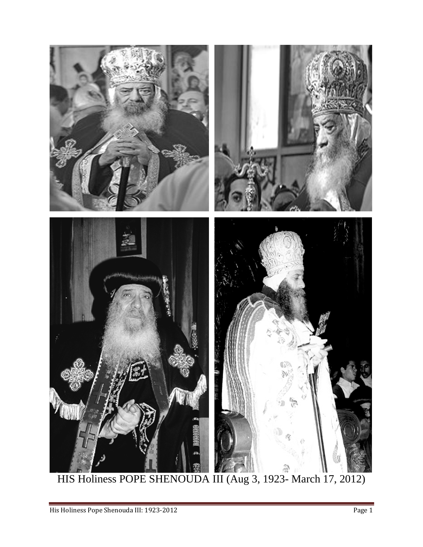

HIS Holiness POPE SHENOUDA III (Aug 3, 1923- March 17, 2012)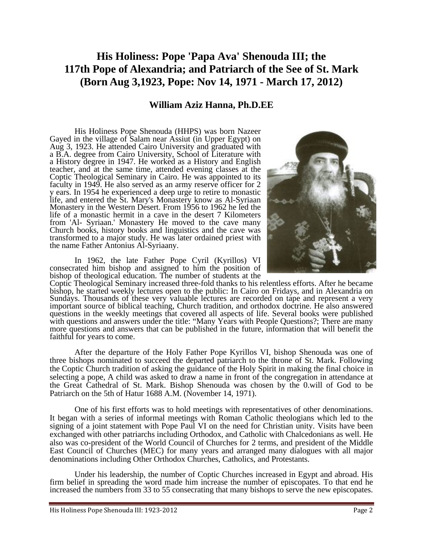## **His Holiness: Pope 'Papa Ava' Shenouda III; the 117th Pope of Alexandria; and Patriarch of the See of St. Mark (Born Aug 3,1923, Pope: Nov 14, 1971 - March 17, 2012)**

## **William Aziz Hanna, Ph.D.EE**

His Holiness Pope Shenouda (HHPS) was born Nazeer Gayed in the village of Salam near Assiut (in Upper Egypt) on Aug 3, 1923. He attended Cairo University and graduated with a B.A. degree from Cairo University, School of Literature with a History degree in 1947. He worked as a History and English teacher, and at the same time, attended evening classes at the Coptic Theological Seminary in Cairo. He was appointed to its faculty in 1949. He also served as an army reserve officer for 2 y ears. In 1954 he experienced a deep urge to retire to monastic life, and entered the St. Mary's Monastery know as Al-Syriaan Monastery in the Western Desert. From 1956 to 1962 he led the life of a monastic hermit in a cave in the desert 7 Kilometers from 'Al- Syriaan.' Monastery He moved to the cave many Church books, history books and linguistics and the cave was transformed to a major study. He was later ordained priest with the name Father Antonius Al-Syriaany.

 In 1962, the late Father Pope Cyril (Kyrillos) VI consecrated him bishop and assigned to him the position of bishop of theological education. The number of students at the



 After the departure of the Holy Father Pope Kyrillos VI, bishop Shenouda was one of three bishops nominated to succeed the departed patriarch to the throne of St. Mark. Following the Coptic Church tradition of asking the guidance of the Holy Spirit in making the final choice in selecting a pope, A child was asked to draw a name in front of the congregation in attendance at the Great Cathedral of St. Mark. Bishop Shenouda was chosen by the 0.will of God to be Patriarch on the 5th of Hatur 1688 A.M. (November 14, 1971).

 One of his first efforts was to hold meetings with representatives of other denominations. It began with a series of informal meetings with Roman Catholic theologians which led to the signing of a joint statement with Pope Paul VI on the need for Christian unity. Visits have been exchanged with other patriarchs including Orthodox, and Catholic with Chalcedonians as well. He also was co-president of the World Council of Churches for 2 terms, and president of the Middle East Council of Churches (MEC) for many years and arranged many dialogues with all major denominations including Other Orthodox Churches, Catholics, and Protestants. Under his leadership, the number of Coptic Churches increased in Egypt and abroad. His

firm belief in spreading the word made him increase the number of episcopates. To that end he increased the numbers from 33 to 55 consecrating that many bishops to serve the new episcopates.

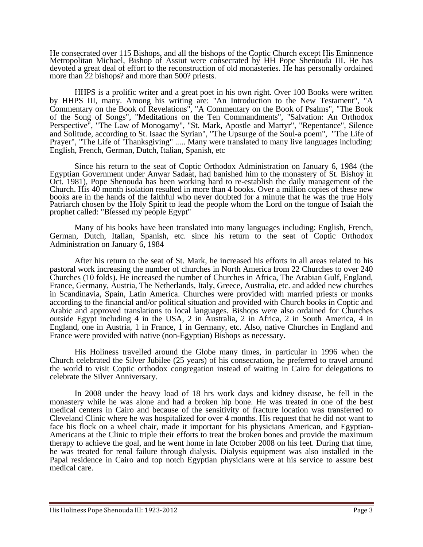He consecrated over 115 Bishops, and all the bishops of the Coptic Church except His Eminnence Metropolitan Michael, Bishop of Assiut were consecrated by HH Pope Shenouda III. He has devoted a great deal of effort to the reconstruction of old monasteries. He has personally ordained more than 22 bishops? and more than 500? priests.

HHPS is a prolific writer and a great poet in his own right. Over 100 Books were written by HHPS III, many. Among his writing are: "An Introduction to the New Testament", "A Commentary on the Book of Revelations", "A Commentary on the Book of Psalms", "The Book of the Song of Songs", "Meditations on the Ten Commandments", "Salvation: An Orthodox Perspective", "The Law of Monogamy", "St. Mark, Apostle and Martyr", "Repentance", Silence and Solitude, according to St. Isaac the Syrian", "The Upsurge of the Soul-a poem", "The Life of Prayer", "The Life of 'Thanksgiving" ..... Many were translated to many live languages including: English, French, German, Dutch, Italian, Spanish, etc

Since his return to the seat of Coptic Orthodox Administration on January 6, 1984 (the Egyptian Government under Anwar Sadaat, had banished him to the monastery of St. Bishoy in Oct. 1981), Pope Shenouda has been working hard to re-establish the daily management of the Church. His 40 month isolation resulted in more than 4 books. Over a million copies of these new books are in the hands of the faithful who never doubted for a minute that he was the true Holy Patriarch chosen by the Holy Spirit to lead the people whom the Lord on the tongue of Isaiah the prophet called: "Blessed my people Egypt"

 Many of his books have been translated into many languages including: English, French, German, Dutch, Italian, Spanish, etc. since his return to the seat of Coptic Orthodox Administration on January 6, 1984

After his return to the seat of St. Mark, he increased his efforts in all areas related to his pastoral work increasing the number of churches in North America from 22 Churches to over 240 Churches (10 folds). He increased the number of Churches in Africa, The Arabian Gulf, England, France, Germany, Austria, The Netherlands, Italy, Greece, Australia, etc. and added new churches in Scandinavia, Spain, Latin America. Churches were provided with married priests or monks according to the financial and/or political situation and provided with Church books in Coptic and Arabic and approved translations to local languages. Bishops were also ordained for Churches outside Egypt including 4 in the USA, 2 in Australia, 2 in Africa, 2 in South America, 4 in England, one in Austria, 1 in France, 1 in Germany, etc. Also, native Churches in England and France were provided with native (non-Egyptian) Bishops as necessary.

His Holiness travelled around the Globe many times, in particular in 1996 when the Church celebrated the Silver Jubilee (25 years) of his consecration, he preferred to travel around the world to visit Coptic orthodox congregation instead of waiting in Cairo for delegations to celebrate the Silver Anniversary.

In 2008 under the heavy load of 18 hrs work days and kidney disease, he fell in the monastery while he was alone and had a broken hip bone. He was treated in one of the best medical centers in Cairo and because of the sensitivity of fracture location was transferred to Cleveland Clinic where he was hospitalized for over 4 months. His request that he did not want to face his flock on a wheel chair, made it important for his physicians American, and Egyptian-Americans at the Clinic to triple their efforts to treat the broken bones and provide the maximum therapy to achieve the goal, and he went home in late October 2008 on his feet. During that time, he was treated for renal failure through dialysis. Dialysis equipment was also installed in the Papal residence in Cairo and top notch Egyptian physicians were at his service to assure best medical care.